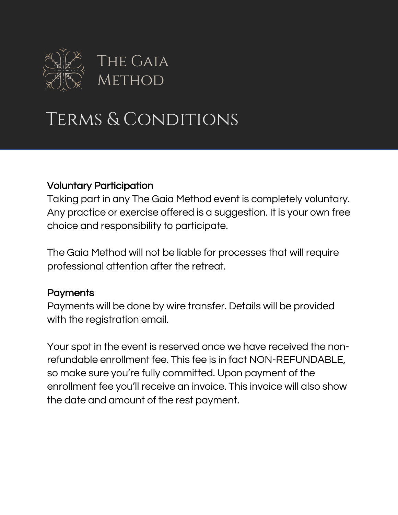

# Terms & Conditions

#### Voluntary Participation

Taking part in any The Gaia Method event is completely voluntary. Any practice or exercise offered is a suggestion. It is your own free choice and responsibility to participate.

The Gaia Method will not be liable for processes that will require professional attention after the retreat.

#### **Payments**

Payments will be done by wire transfer. Details will be provided with the registration email.

Your spot in the event is reserved once we have received the nonrefundable enrollment fee. This fee is in fact NON-REFUNDABLE, so make sure you're fully committed. Upon payment of the enrollment fee you'll receive an invoice. This invoice will also show the date and amount of the rest payment.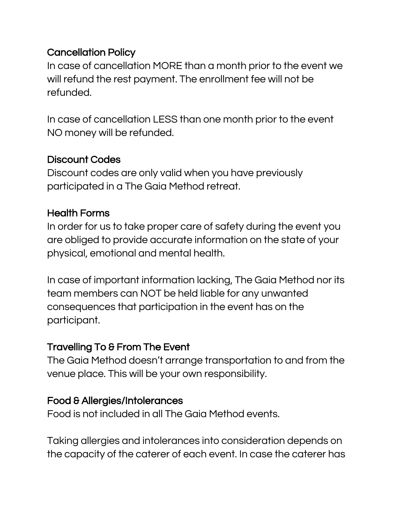#### Cancellation Policy

In case of cancellation MORE than a month prior to the event we will refund the rest payment. The enrollment fee will not be refunded.

In case of cancellation LESS than one month prior to the event NO money will be refunded.

#### Discount Codes

Discount codes are only valid when you have previously participated in a The Gaia Method retreat.

## Health Forms

In order for us to take proper care of safety during the event you are obliged to provide accurate information on the state of your physical, emotional and mental health.

In case of important information lacking, The Gaia Method nor its team members can NOT be held liable for any unwanted consequences that participation in the event has on the participant.

## Travelling To & From The Event

The Gaia Method doesn't arrange transportation to and from the venue place. This will be your own responsibility.

## Food & Allergies/Intolerances

Food is not included in all The Gaia Method events.

Taking allergies and intolerances into consideration depends on the capacity of the caterer of each event. In case the caterer has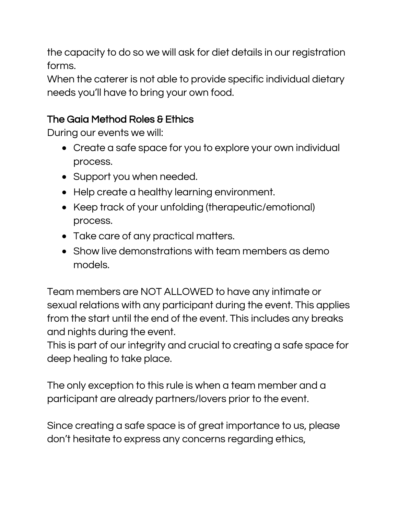the capacity to do so we will ask for diet details in our registration forms.

When the caterer is not able to provide specific individual dietary needs you'll have to bring your own food.

## The Gaia Method Roles & Ethics

During our events we will:

- Create a safe space for you to explore your own individual process.
- Support you when needed.
- Help create a healthy learning environment.
- Keep track of your unfolding (therapeutic/emotional) process.
- Take care of any practical matters.
- Show live demonstrations with team members as demo models.

Team members are NOT ALLOWED to have any intimate or sexual relations with any participant during the event. This applies from the start until the end of the event. This includes any breaks and nights during the event.

This is part of our integrity and crucial to creating a safe space for deep healing to take place.

The only exception to this rule is when a team member and a participant are already partners/lovers prior to the event.

Since creating a safe space is of great importance to us, please don't hesitate to express any concerns regarding ethics,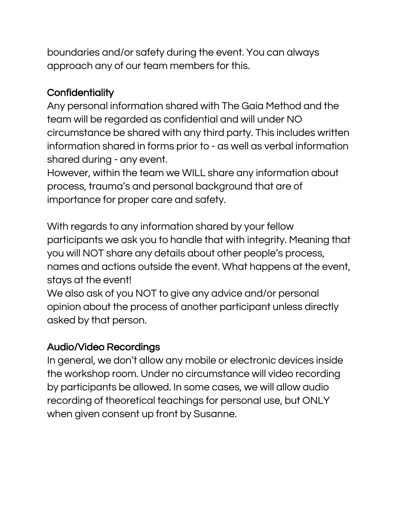boundaries and/or safety during the event. You can always approach any of our team members for this.

## **Confidentiality**

Any personal information shared with The Gaia Method and the team will be regarded as confidential and will under NO circumstance be shared with any third party. This includes written information shared in forms prior to - as well as verbal information shared during - any event.

However, within the team we WILL share any information about process, trauma's and personal background that are of importance for proper care and safety.

With regards to any information shared by your fellow participants we ask you to handle that with integrity. Meaning that you will NOT share any details about other people's process, names and actions outside the event. What happens at the event, stays at the event!

We also ask of you NOT to give any advice and/or personal opinion about the process of another participant unless directly asked by that person.

## Audio/Video Recordings

In general, we don't allow any mobile or electronic devices inside the workshop room. Under no circumstance will video recording by participants be allowed. In some cases, we will allow audio recording of theoretical teachings for personal use, but ONLY when given consent up front by Susanne.